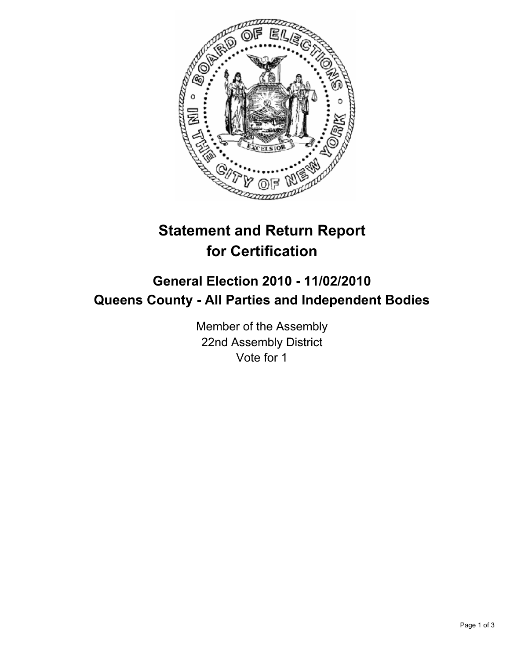

## **Statement and Return Report for Certification**

## **General Election 2010 - 11/02/2010 Queens County - All Parties and Independent Bodies**

Member of the Assembly 22nd Assembly District Vote for 1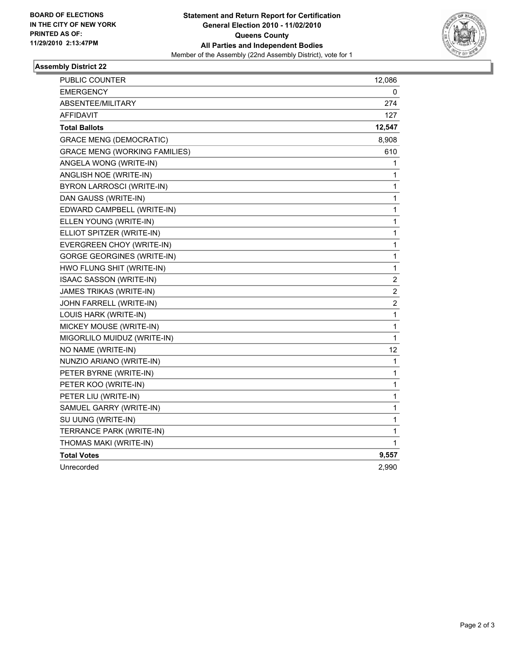

## **Assembly District 22**

| PUBLIC COUNTER                       | 12,086                  |
|--------------------------------------|-------------------------|
| <b>EMERGENCY</b>                     | 0                       |
| <b>ABSENTEE/MILITARY</b>             | 274                     |
| AFFIDAVIT                            | 127                     |
| <b>Total Ballots</b>                 | 12,547                  |
| <b>GRACE MENG (DEMOCRATIC)</b>       | 8,908                   |
| <b>GRACE MENG (WORKING FAMILIES)</b> | 610                     |
| ANGELA WONG (WRITE-IN)               | 1                       |
| ANGLISH NOE (WRITE-IN)               | 1                       |
| BYRON LARROSCI (WRITE-IN)            | 1                       |
| DAN GAUSS (WRITE-IN)                 | 1                       |
| EDWARD CAMPBELL (WRITE-IN)           | 1                       |
| ELLEN YOUNG (WRITE-IN)               | 1                       |
| ELLIOT SPITZER (WRITE-IN)            | 1                       |
| EVERGREEN CHOY (WRITE-IN)            | $\mathbf 1$             |
| <b>GORGE GEORGINES (WRITE-IN)</b>    | 1                       |
| HWO FLUNG SHIT (WRITE-IN)            | 1                       |
| ISAAC SASSON (WRITE-IN)              | $\boldsymbol{2}$        |
| JAMES TRIKAS (WRITE-IN)              | $\overline{\mathbf{c}}$ |
| JOHN FARRELL (WRITE-IN)              | $\overline{c}$          |
| LOUIS HARK (WRITE-IN)                | $\mathbf 1$             |
| MICKEY MOUSE (WRITE-IN)              | 1                       |
| MIGORLILO MUIDUZ (WRITE-IN)          | 1                       |
| NO NAME (WRITE-IN)                   | 12                      |
| NUNZIO ARIANO (WRITE-IN)             | 1                       |
| PETER BYRNE (WRITE-IN)               | $\mathbf{1}$            |
| PETER KOO (WRITE-IN)                 | 1                       |
| PETER LIU (WRITE-IN)                 | 1                       |
| SAMUEL GARRY (WRITE-IN)              | 1                       |
| SU UUNG (WRITE-IN)                   | 1                       |
| TERRANCE PARK (WRITE-IN)             | 1                       |
| THOMAS MAKI (WRITE-IN)               | 1                       |
| <b>Total Votes</b>                   | 9,557                   |
| Unrecorded                           | 2,990                   |